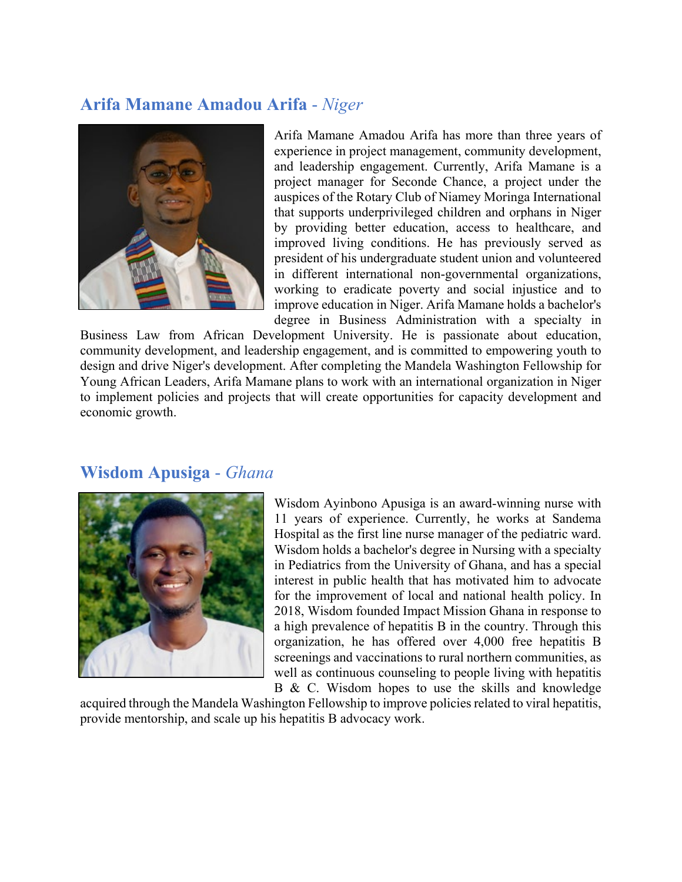## **Arifa Mamane Amadou Arifa** - *Niger*



Arifa Mamane Amadou Arifa has more than three years of experience in project management, community development, and leadership engagement. Currently, Arifa Mamane is a project manager for Seconde Chance, a project under the auspices of the Rotary Club of Niamey Moringa International that supports underprivileged children and orphans in Niger by providing better education, access to healthcare, and improved living conditions. He has previously served as president of his undergraduate student union and volunteered in different international non-governmental organizations, working to eradicate poverty and social injustice and to improve education in Niger. Arifa Mamane holds a bachelor's degree in Business Administration with a specialty in

Business Law from African Development University. He is passionate about education, community development, and leadership engagement, and is committed to empowering youth to design and drive Niger's development. After completing the Mandela Washington Fellowship for Young African Leaders, Arifa Mamane plans to work with an international organization in Niger to implement policies and projects that will create opportunities for capacity development and economic growth.

#### **Wisdom Apusiga** - *Ghana*



Wisdom Ayinbono Apusiga is an award-winning nurse with 11 years of experience. Currently, he works at Sandema Hospital as the first line nurse manager of the pediatric ward. Wisdom holds a bachelor's degree in Nursing with a specialty in Pediatrics from the University of Ghana, and has a special interest in public health that has motivated him to advocate for the improvement of local and national health policy. In 2018, Wisdom founded Impact Mission Ghana in response to a high prevalence of hepatitis B in the country. Through this organization, he has offered over 4,000 free hepatitis B screenings and vaccinations to rural northern communities, as well as continuous counseling to people living with hepatitis

B & C. Wisdom hopes to use the skills and knowledge

acquired through the Mandela Washington Fellowship to improve policies related to viral hepatitis, provide mentorship, and scale up his hepatitis B advocacy work.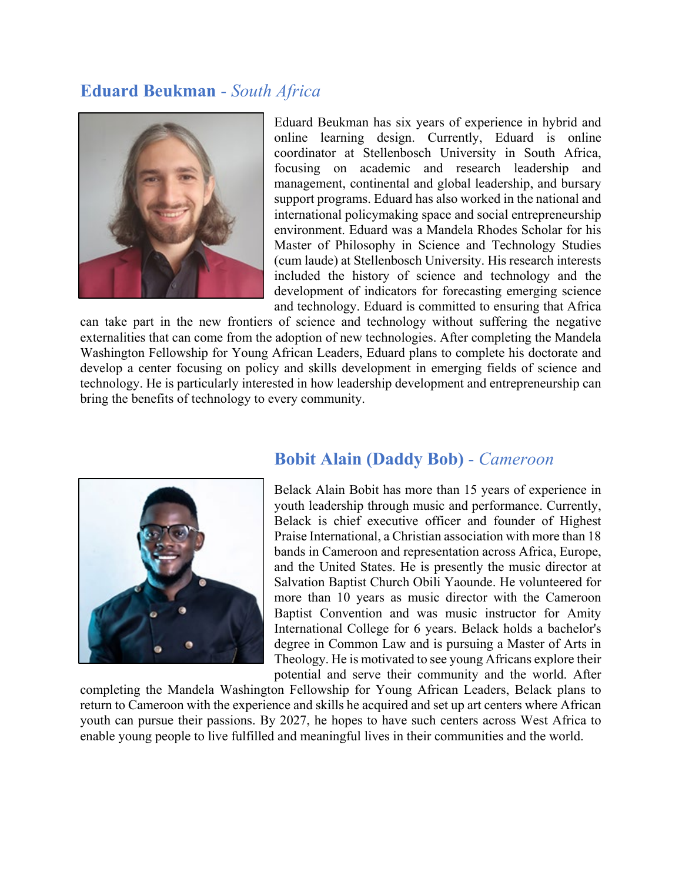## **Eduard Beukman** - *South Africa*



Eduard Beukman has six years of experience in hybrid and online learning design. Currently, Eduard is online coordinator at Stellenbosch University in South Africa, focusing on academic and research leadership and management, continental and global leadership, and bursary support programs. Eduard has also worked in the national and international policymaking space and social entrepreneurship environment. Eduard was a Mandela Rhodes Scholar for his Master of Philosophy in Science and Technology Studies (cum laude) at Stellenbosch University. His research interests included the history of science and technology and the development of indicators for forecasting emerging science and technology. Eduard is committed to ensuring that Africa

can take part in the new frontiers of science and technology without suffering the negative externalities that can come from the adoption of new technologies. After completing the Mandela Washington Fellowship for Young African Leaders, Eduard plans to complete his doctorate and develop a center focusing on policy and skills development in emerging fields of science and technology. He is particularly interested in how leadership development and entrepreneurship can bring the benefits of technology to every community.



### **Bobit Alain (Daddy Bob)** - *Cameroon*

Belack Alain Bobit has more than 15 years of experience in youth leadership through music and performance. Currently, Belack is chief executive officer and founder of Highest Praise International, a Christian association with more than 18 bands in Cameroon and representation across Africa, Europe, and the United States. He is presently the music director at Salvation Baptist Church Obili Yaounde. He volunteered for more than 10 years as music director with the Cameroon Baptist Convention and was music instructor for Amity International College for 6 years. Belack holds a bachelor's degree in Common Law and is pursuing a Master of Arts in Theology. He is motivated to see young Africans explore their potential and serve their community and the world. After

completing the Mandela Washington Fellowship for Young African Leaders, Belack plans to return to Cameroon with the experience and skills he acquired and set up art centers where African youth can pursue their passions. By 2027, he hopes to have such centers across West Africa to enable young people to live fulfilled and meaningful lives in their communities and the world.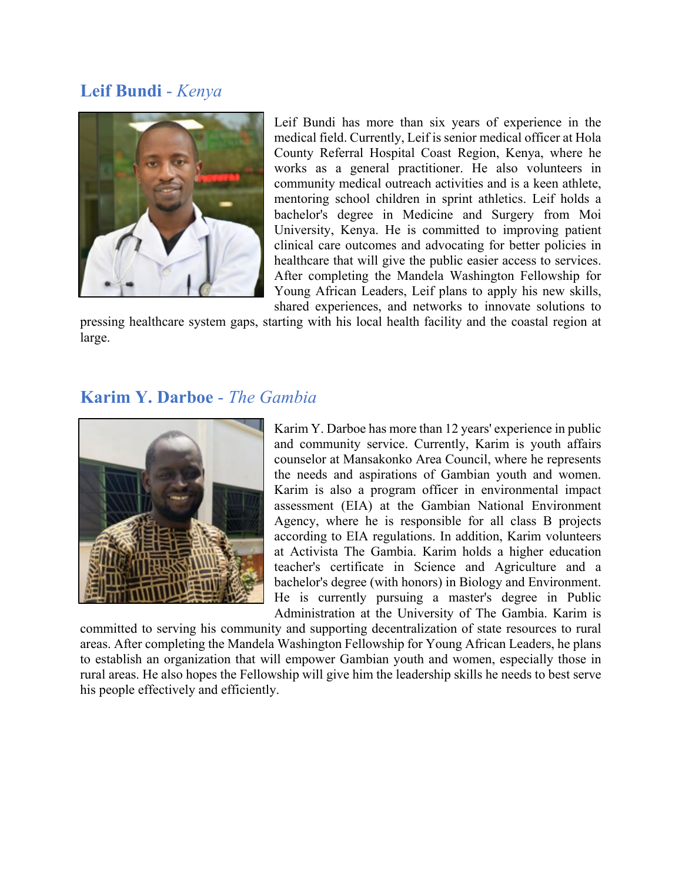# **Leif Bundi** - *Kenya*



Leif Bundi has more than six years of experience in the medical field. Currently, Leif is senior medical officer at Hola County Referral Hospital Coast Region, Kenya, where he works as a general practitioner. He also volunteers in community medical outreach activities and is a keen athlete, mentoring school children in sprint athletics. Leif holds a bachelor's degree in Medicine and Surgery from Moi University, Kenya. He is committed to improving patient clinical care outcomes and advocating for better policies in healthcare that will give the public easier access to services. After completing the Mandela Washington Fellowship for Young African Leaders, Leif plans to apply his new skills, shared experiences, and networks to innovate solutions to

pressing healthcare system gaps, starting with his local health facility and the coastal region at large.

### **Karim Y. Darboe** - *The Gambia*



Karim Y. Darboe has more than 12 years' experience in public and community service. Currently, Karim is youth affairs counselor at Mansakonko Area Council, where he represents the needs and aspirations of Gambian youth and women. Karim is also a program officer in environmental impact assessment (EIA) at the Gambian National Environment Agency, where he is responsible for all class B projects according to EIA regulations. In addition, Karim volunteers at Activista The Gambia. Karim holds a higher education teacher's certificate in Science and Agriculture and a bachelor's degree (with honors) in Biology and Environment. He is currently pursuing a master's degree in Public Administration at the University of The Gambia. Karim is

committed to serving his community and supporting decentralization of state resources to rural areas. After completing the Mandela Washington Fellowship for Young African Leaders, he plans to establish an organization that will empower Gambian youth and women, especially those in rural areas. He also hopes the Fellowship will give him the leadership skills he needs to best serve his people effectively and efficiently.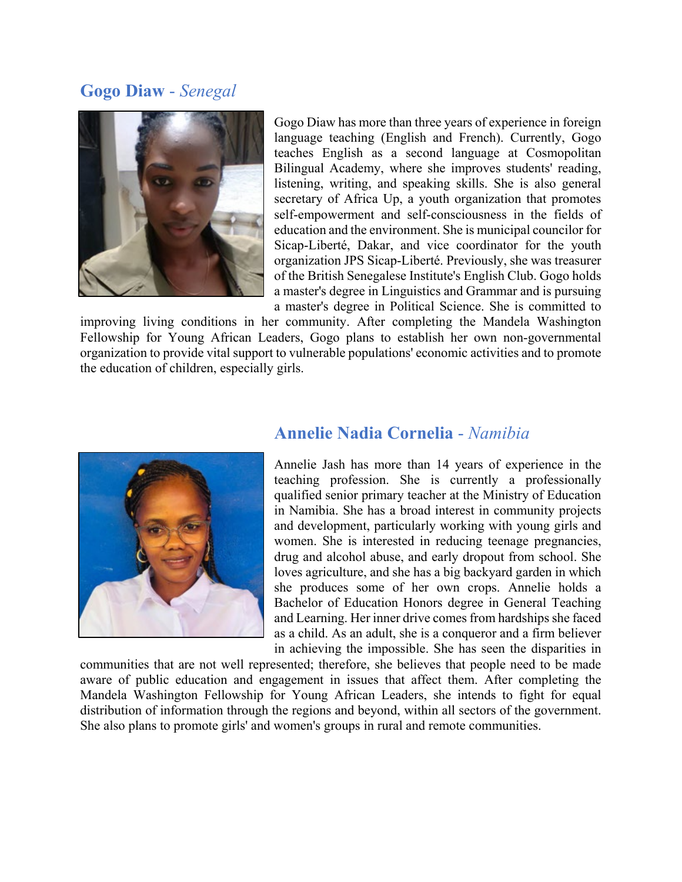## **Gogo Diaw** - *Senegal*



Gogo Diaw has more than three years of experience in foreign language teaching (English and French). Currently, Gogo teaches English as a second language at Cosmopolitan Bilingual Academy, where she improves students' reading, listening, writing, and speaking skills. She is also general secretary of Africa Up, a youth organization that promotes self-empowerment and self-consciousness in the fields of education and the environment. She is municipal councilor for Sicap-Liberté, Dakar, and vice coordinator for the youth organization JPS Sicap-Liberté. Previously, she was treasurer of the British Senegalese Institute's English Club. Gogo holds a master's degree in Linguistics and Grammar and is pursuing a master's degree in Political Science. She is committed to

improving living conditions in her community. After completing the Mandela Washington Fellowship for Young African Leaders, Gogo plans to establish her own non-governmental organization to provide vital support to vulnerable populations' economic activities and to promote the education of children, especially girls.



## **Annelie Nadia Cornelia** - *Namibia*

Annelie Jash has more than 14 years of experience in the teaching profession. She is currently a professionally qualified senior primary teacher at the Ministry of Education in Namibia. She has a broad interest in community projects and development, particularly working with young girls and women. She is interested in reducing teenage pregnancies, drug and alcohol abuse, and early dropout from school. She loves agriculture, and she has a big backyard garden in which she produces some of her own crops. Annelie holds a Bachelor of Education Honors degree in General Teaching and Learning. Her inner drive comes from hardships she faced as a child. As an adult, she is a conqueror and a firm believer in achieving the impossible. She has seen the disparities in

communities that are not well represented; therefore, she believes that people need to be made aware of public education and engagement in issues that affect them. After completing the Mandela Washington Fellowship for Young African Leaders, she intends to fight for equal distribution of information through the regions and beyond, within all sectors of the government. She also plans to promote girls' and women's groups in rural and remote communities.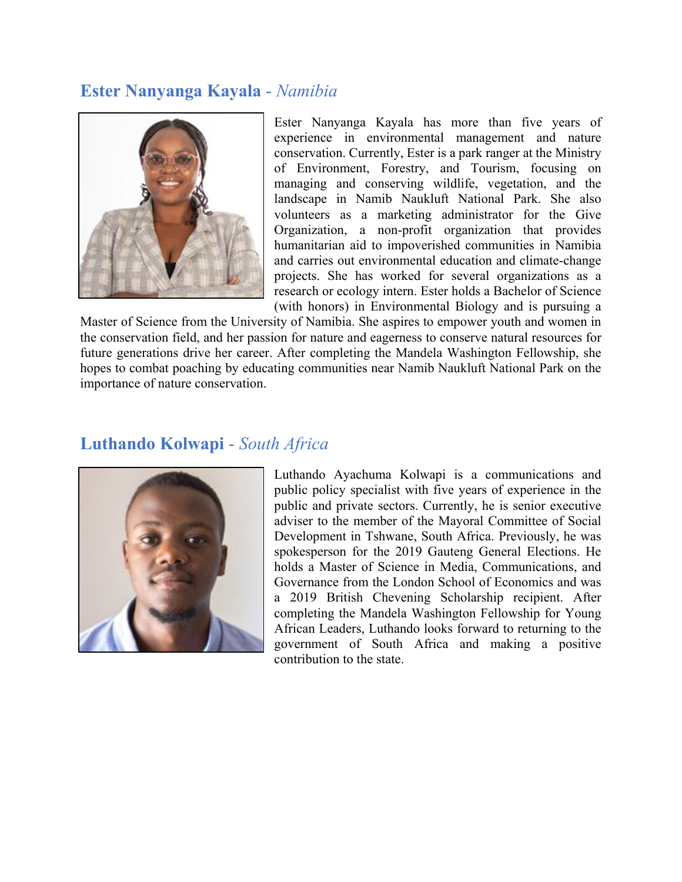# **Ester Nanyanga Kayala** - *Namibia*



Ester Nanyanga Kayala has more than five years of experience in environmental management and nature conservation. Currently, Ester is a park ranger at the Ministry of Environment, Forestry, and Tourism, focusing on managing and conserving wildlife, vegetation, and the landscape in Namib Naukluft National Park. She also volunteers as a marketing administrator for the Give Organization, a non-profit organization that provides humanitarian aid to impoverished communities in Namibia and carries out environmental education and climate-change projects. She has worked for several organizations as a research or ecology intern. Ester holds a Bachelor of Science (with honors) in Environmental Biology and is pursuing a

Master of Science from the University of Namibia. She aspires to empower youth and women in the conservation field, and her passion for nature and eagerness to conserve natural resources for future generations drive her career. After completing the Mandela Washington Fellowship, she hopes to combat poaching by educating communities near Namib Naukluft National Park on the importance of nature conservation.

## **Luthando Kolwapi** - *South Africa*



Luthando Ayachuma Kolwapi is a communications and public policy specialist with five years of experience in the public and private sectors. Currently, he is senior executive adviser to the member of the Mayoral Committee of Social Development in Tshwane, South Africa. Previously, he was spokesperson for the 2019 Gauteng General Elections. He holds a Master of Science in Media, Communications, and Governance from the London School of Economics and was a 2019 British Chevening Scholarship recipient. After completing the Mandela Washington Fellowship for Young African Leaders, Luthando looks forward to returning to the government of South Africa and making a positive contribution to the state.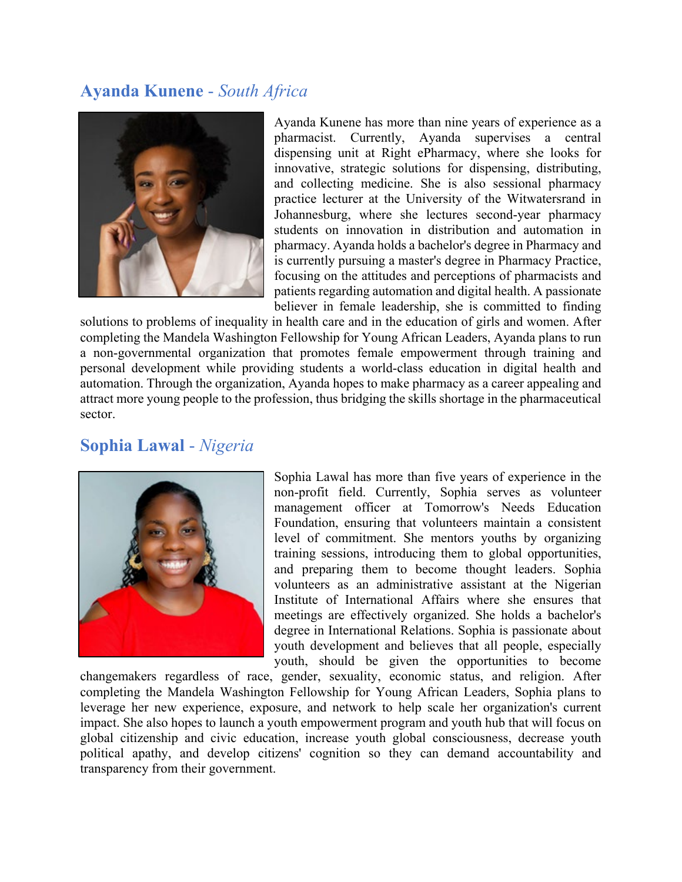# **Ayanda Kunene** - *South Africa*



Ayanda Kunene has more than nine years of experience as a pharmacist. Currently, Ayanda supervises a central dispensing unit at Right ePharmacy, where she looks for innovative, strategic solutions for dispensing, distributing, and collecting medicine. She is also sessional pharmacy practice lecturer at the University of the Witwatersrand in Johannesburg, where she lectures second-year pharmacy students on innovation in distribution and automation in pharmacy. Ayanda holds a bachelor's degree in Pharmacy and is currently pursuing a master's degree in Pharmacy Practice, focusing on the attitudes and perceptions of pharmacists and patients regarding automation and digital health. A passionate believer in female leadership, she is committed to finding

solutions to problems of inequality in health care and in the education of girls and women. After completing the Mandela Washington Fellowship for Young African Leaders, Ayanda plans to run a non-governmental organization that promotes female empowerment through training and personal development while providing students a world-class education in digital health and automation. Through the organization, Ayanda hopes to make pharmacy as a career appealing and attract more young people to the profession, thus bridging the skills shortage in the pharmaceutical sector.

## **Sophia Lawal** - *Nigeria*



Sophia Lawal has more than five years of experience in the non-profit field. Currently, Sophia serves as volunteer management officer at Tomorrow's Needs Education Foundation, ensuring that volunteers maintain a consistent level of commitment. She mentors youths by organizing training sessions, introducing them to global opportunities, and preparing them to become thought leaders. Sophia volunteers as an administrative assistant at the Nigerian Institute of International Affairs where she ensures that meetings are effectively organized. She holds a bachelor's degree in International Relations. Sophia is passionate about youth development and believes that all people, especially youth, should be given the opportunities to become

changemakers regardless of race, gender, sexuality, economic status, and religion. After completing the Mandela Washington Fellowship for Young African Leaders, Sophia plans to leverage her new experience, exposure, and network to help scale her organization's current impact. She also hopes to launch a youth empowerment program and youth hub that will focus on global citizenship and civic education, increase youth global consciousness, decrease youth political apathy, and develop citizens' cognition so they can demand accountability and transparency from their government.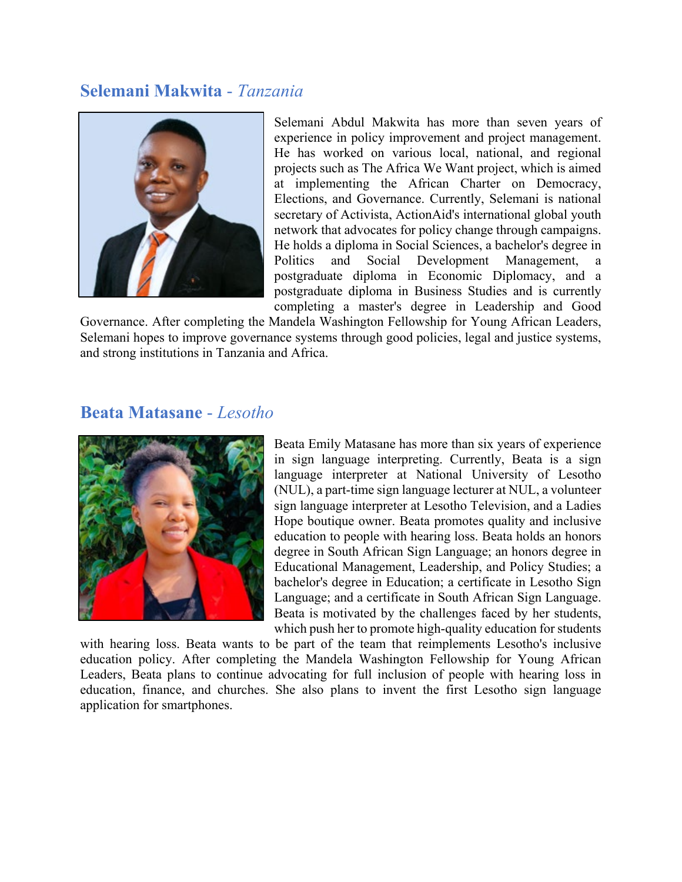### **Selemani Makwita** - *Tanzania*



Selemani Abdul Makwita has more than seven years of experience in policy improvement and project management. He has worked on various local, national, and regional projects such as The Africa We Want project, which is aimed at implementing the African Charter on Democracy, Elections, and Governance. Currently, Selemani is national secretary of Activista, ActionAid's international global youth network that advocates for policy change through campaigns. He holds a diploma in Social Sciences, a bachelor's degree in Politics and Social Development Management, a postgraduate diploma in Economic Diplomacy, and a postgraduate diploma in Business Studies and is currently completing a master's degree in Leadership and Good

Governance. After completing the Mandela Washington Fellowship for Young African Leaders, Selemani hopes to improve governance systems through good policies, legal and justice systems, and strong institutions in Tanzania and Africa.

#### **Beata Matasane** - *Lesotho*



Beata Emily Matasane has more than six years of experience in sign language interpreting. Currently, Beata is a sign language interpreter at National University of Lesotho (NUL), a part-time sign language lecturer at NUL, a volunteer sign language interpreter at Lesotho Television, and a Ladies Hope boutique owner. Beata promotes quality and inclusive education to people with hearing loss. Beata holds an honors degree in South African Sign Language; an honors degree in Educational Management, Leadership, and Policy Studies; a bachelor's degree in Education; a certificate in Lesotho Sign Language; and a certificate in South African Sign Language. Beata is motivated by the challenges faced by her students, which push her to promote high-quality education for students

with hearing loss. Beata wants to be part of the team that reimplements Lesotho's inclusive education policy. After completing the Mandela Washington Fellowship for Young African Leaders, Beata plans to continue advocating for full inclusion of people with hearing loss in education, finance, and churches. She also plans to invent the first Lesotho sign language application for smartphones.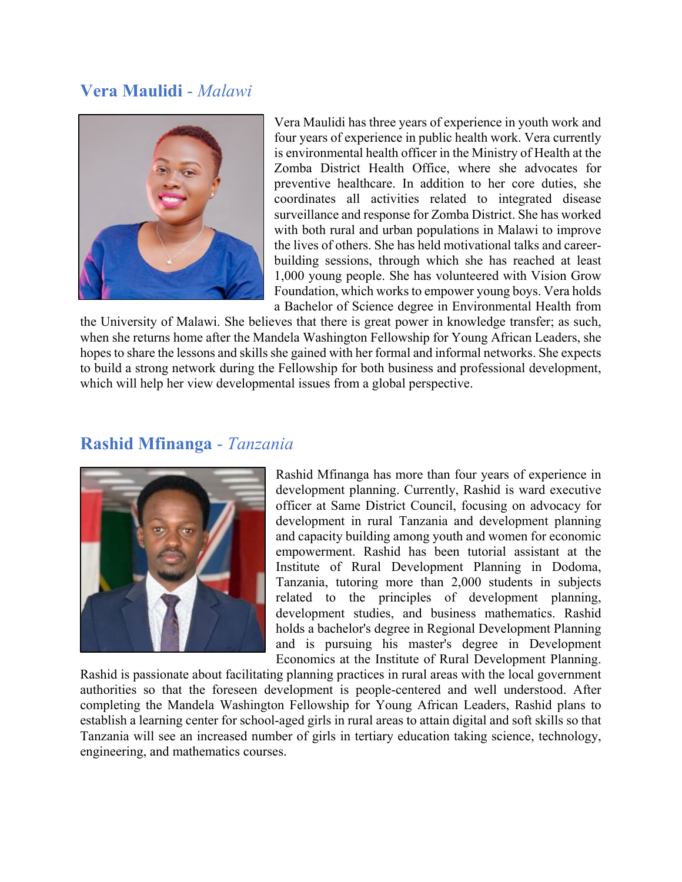## **Vera Maulidi** - *Malawi*



Vera Maulidi has three years of experience in youth work and four years of experience in public health work. Vera currently is environmental health officer in the Ministry of Health at the Zomba District Health Office, where she advocates for preventive healthcare. In addition to her core duties, she coordinates all activities related to integrated disease surveillance and response for Zomba District. She has worked with both rural and urban populations in Malawi to improve the lives of others. She has held motivational talks and careerbuilding sessions, through which she has reached at least 1,000 young people. She has volunteered with Vision Grow Foundation, which works to empower young boys. Vera holds a Bachelor of Science degree in Environmental Health from

the University of Malawi. She believes that there is great power in knowledge transfer; as such, when she returns home after the Mandela Washington Fellowship for Young African Leaders, she hopes to share the lessons and skills she gained with her formal and informal networks. She expects to build a strong network during the Fellowship for both business and professional development, which will help her view developmental issues from a global perspective.

### **Rashid Mfinanga** - *Tanzania*



Rashid Mfinanga has more than four years of experience in development planning. Currently, Rashid is ward executive officer at Same District Council, focusing on advocacy for development in rural Tanzania and development planning and capacity building among youth and women for economic empowerment. Rashid has been tutorial assistant at the Institute of Rural Development Planning in Dodoma, Tanzania, tutoring more than 2,000 students in subjects related to the principles of development planning, development studies, and business mathematics. Rashid holds a bachelor's degree in Regional Development Planning and is pursuing his master's degree in Development Economics at the Institute of Rural Development Planning.

Rashid is passionate about facilitating planning practices in rural areas with the local government authorities so that the foreseen development is people-centered and well understood. After completing the Mandela Washington Fellowship for Young African Leaders, Rashid plans to establish a learning center for school-aged girls in rural areas to attain digital and soft skills so that Tanzania will see an increased number of girls in tertiary education taking science, technology, engineering, and mathematics courses.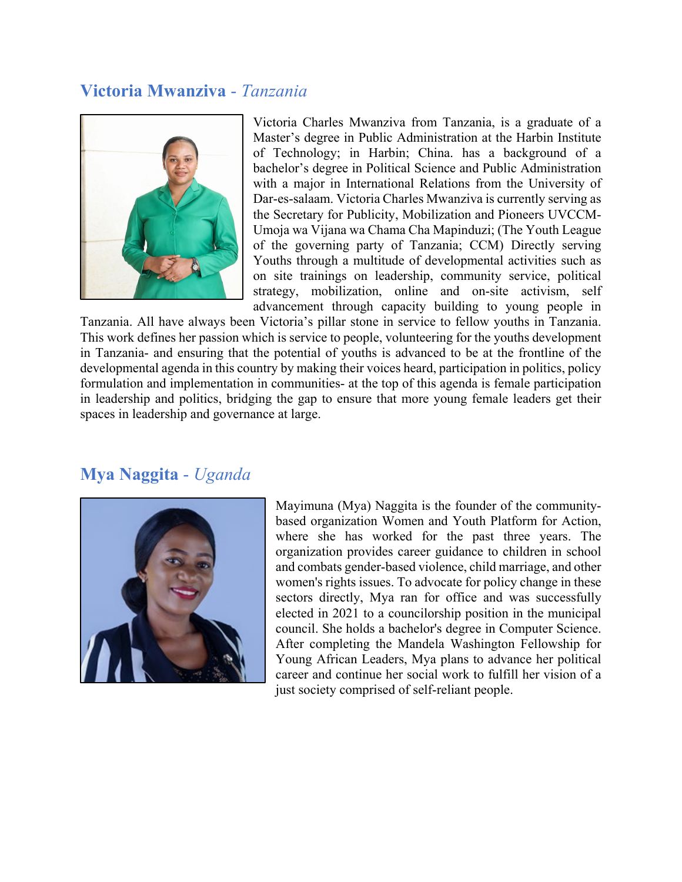## **Victoria Mwanziva** - *Tanzania*



Victoria Charles Mwanziva from Tanzania, is a graduate of a Master's degree in Public Administration at the Harbin Institute of Technology; in Harbin; China. has a background of a bachelor's degree in Political Science and Public Administration with a major in International Relations from the University of Dar-es-salaam. Victoria Charles Mwanziva is currently serving as the Secretary for Publicity, Mobilization and Pioneers UVCCM-Umoja wa Vijana wa Chama Cha Mapinduzi; (The Youth League of the governing party of Tanzania; CCM) Directly serving Youths through a multitude of developmental activities such as on site trainings on leadership, community service, political strategy, mobilization, online and on-site activism, self advancement through capacity building to young people in

Tanzania. All have always been Victoria's pillar stone in service to fellow youths in Tanzania. This work defines her passion which is service to people, volunteering for the youths development in Tanzania- and ensuring that the potential of youths is advanced to be at the frontline of the developmental agenda in this country by making their voices heard, participation in politics, policy formulation and implementation in communities- at the top of this agenda is female participation in leadership and politics, bridging the gap to ensure that more young female leaders get their spaces in leadership and governance at large.

## **Mya Naggita** - *Uganda*



Mayimuna (Mya) Naggita is the founder of the communitybased organization Women and Youth Platform for Action, where she has worked for the past three years. The organization provides career guidance to children in school and combats gender-based violence, child marriage, and other women's rights issues. To advocate for policy change in these sectors directly, Mya ran for office and was successfully elected in 2021 to a councilorship position in the municipal council. She holds a bachelor's degree in Computer Science. After completing the Mandela Washington Fellowship for Young African Leaders, Mya plans to advance her political career and continue her social work to fulfill her vision of a just society comprised of self-reliant people.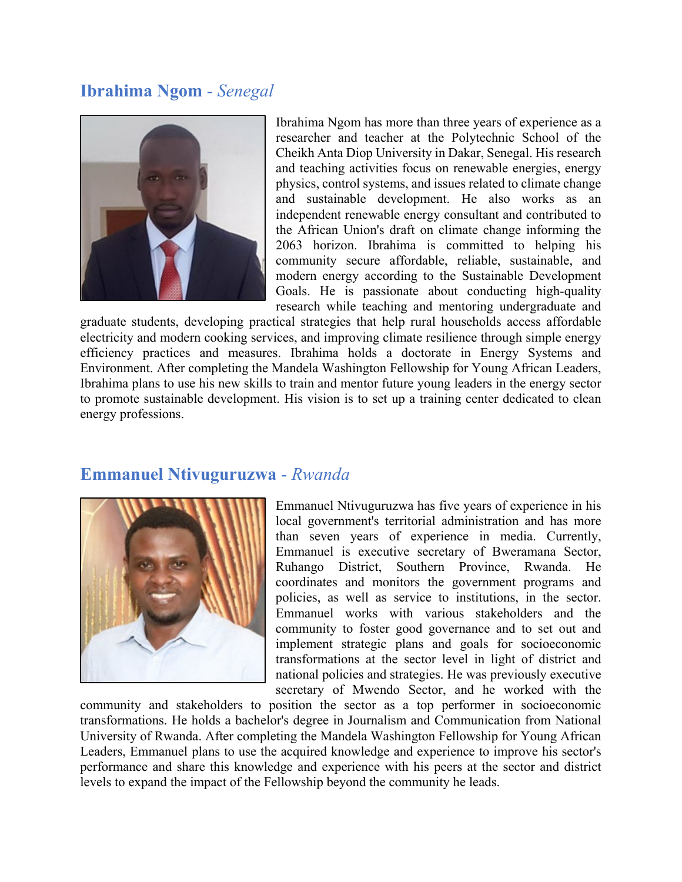## **Ibrahima Ngom** - *Senegal*



Ibrahima Ngom has more than three years of experience as a researcher and teacher at the Polytechnic School of the Cheikh Anta Diop University in Dakar, Senegal. His research and teaching activities focus on renewable energies, energy physics, control systems, and issues related to climate change and sustainable development. He also works as an independent renewable energy consultant and contributed to the African Union's draft on climate change informing the 2063 horizon. Ibrahima is committed to helping his community secure affordable, reliable, sustainable, and modern energy according to the Sustainable Development Goals. He is passionate about conducting high-quality research while teaching and mentoring undergraduate and

graduate students, developing practical strategies that help rural households access affordable electricity and modern cooking services, and improving climate resilience through simple energy efficiency practices and measures. Ibrahima holds a doctorate in Energy Systems and Environment. After completing the Mandela Washington Fellowship for Young African Leaders, Ibrahima plans to use his new skills to train and mentor future young leaders in the energy sector to promote sustainable development. His vision is to set up a training center dedicated to clean energy professions.

#### **Emmanuel Ntivuguruzwa** - *Rwanda*



Emmanuel Ntivuguruzwa has five years of experience in his local government's territorial administration and has more than seven years of experience in media. Currently, Emmanuel is executive secretary of Bweramana Sector, Ruhango District, Southern Province, Rwanda. He coordinates and monitors the government programs and policies, as well as service to institutions, in the sector. Emmanuel works with various stakeholders and the community to foster good governance and to set out and implement strategic plans and goals for socioeconomic transformations at the sector level in light of district and national policies and strategies. He was previously executive secretary of Mwendo Sector, and he worked with the

community and stakeholders to position the sector as a top performer in socioeconomic transformations. He holds a bachelor's degree in Journalism and Communication from National University of Rwanda. After completing the Mandela Washington Fellowship for Young African Leaders, Emmanuel plans to use the acquired knowledge and experience to improve his sector's performance and share this knowledge and experience with his peers at the sector and district levels to expand the impact of the Fellowship beyond the community he leads.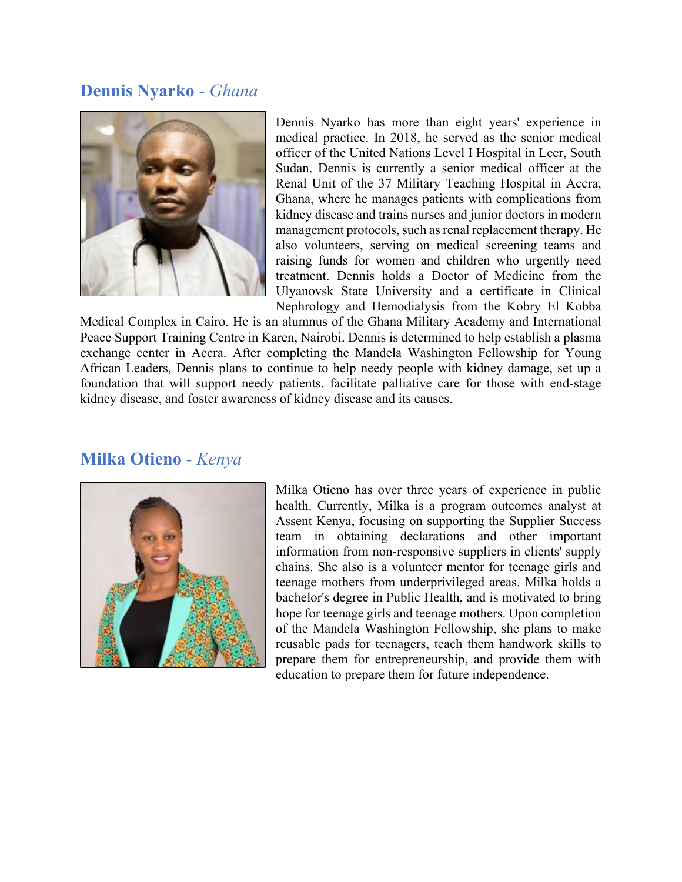### **Dennis Nyarko** - *Ghana*



Dennis Nyarko has more than eight years' experience in medical practice. In 2018, he served as the senior medical officer of the United Nations Level I Hospital in Leer, South Sudan. Dennis is currently a senior medical officer at the Renal Unit of the 37 Military Teaching Hospital in Accra, Ghana, where he manages patients with complications from kidney disease and trains nurses and junior doctors in modern management protocols, such as renal replacement therapy. He also volunteers, serving on medical screening teams and raising funds for women and children who urgently need treatment. Dennis holds a Doctor of Medicine from the Ulyanovsk State University and a certificate in Clinical Nephrology and Hemodialysis from the Kobry El Kobba

Medical Complex in Cairo. He is an alumnus of the Ghana Military Academy and International Peace Support Training Centre in Karen, Nairobi. Dennis is determined to help establish a plasma exchange center in Accra. After completing the Mandela Washington Fellowship for Young African Leaders, Dennis plans to continue to help needy people with kidney damage, set up a foundation that will support needy patients, facilitate palliative care for those with end-stage kidney disease, and foster awareness of kidney disease and its causes.

#### **Milka Otieno** - *Kenya*



Milka Otieno has over three years of experience in public health. Currently, Milka is a program outcomes analyst at Assent Kenya, focusing on supporting the Supplier Success team in obtaining declarations and other important information from non-responsive suppliers in clients' supply chains. She also is a volunteer mentor for teenage girls and teenage mothers from underprivileged areas. Milka holds a bachelor's degree in Public Health, and is motivated to bring hope for teenage girls and teenage mothers. Upon completion of the Mandela Washington Fellowship, she plans to make reusable pads for teenagers, teach them handwork skills to prepare them for entrepreneurship, and provide them with education to prepare them for future independence.